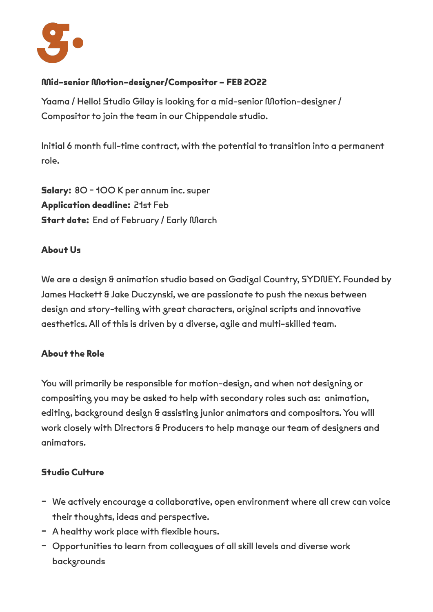

# **Mid-senior Motion-designer/Compositor – FEB 2022**

Yaama / Hello! Studio Gilay is looking for a mid-senior Motion-designer / Compositor to join the team in our Chippendale studio.

Initial 6 month full-time contract, with the potential to transition into a permanent role.

**Salary:** 80 - 100 K per annum inc. super **Application deadline:** 21st Feb **Start date:** End of February / Early March

### **About Us**

We are a design & animation studio based on Gadigal Country, SYDNEY. Founded by James Hackett & Jake Duczynski, we are passionate to push the nexus between design and story-telling with great characters, original scripts and innovative aesthetics. All of this is driven by a diverse, agile and multi-skilled team.

### **About the Role**

You will primarily be responsible for motion-design, and when not designing or compositing you may be asked to help with secondary roles such as: animation, editing, background design & assisting junior animators and compositors. You will work closely with Directors & Producers to help manage our team of designers and animators.

### **Studio Culture**

- We actively encourage a collaborative, open environment where all crew can voice their thoughts, ideas and perspective.
- A healthy work place with flexible hours.
- Opportunities to learn from colleagues of all skill levels and diverse work backgrounds